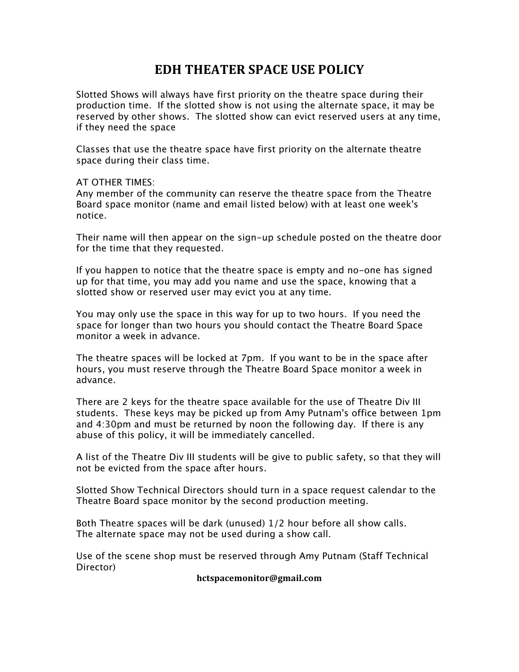## **EDH THEATER SPACE USE POLICY**

Slotted Shows will always have first priority on the theatre space during their production time. If the slotted show is not using the alternate space, it may be reserved by other shows. The slotted show can evict reserved users at any time, if they need the space

Classes that use the theatre space have first priority on the alternate theatre space during their class time.

AT OTHER TIMES:

Any member of the community can reserve the theatre space from the Theatre Board space monitor (name and email listed below) with at least one week's notice.

Their name will then appear on the sign-up schedule posted on the theatre door for the time that they requested.

If you happen to notice that the theatre space is empty and no-one has signed up for that time, you may add you name and use the space, knowing that a slotted show or reserved user may evict you at any time.

You may only use the space in this way for up to two hours. If you need the space for longer than two hours you should contact the Theatre Board Space monitor a week in advance.

The theatre spaces will be locked at 7pm. If you want to be in the space after hours, you must reserve through the Theatre Board Space monitor a week in advance.

There are 2 keys for the theatre space available for the use of Theatre Div III students. These keys may be picked up from Amy Putnam's office between 1pm and 4:30pm and must be returned by noon the following day. If there is any abuse of this policy, it will be immediately cancelled.

A list of the Theatre Div III students will be give to public safety, so that they will not be evicted from the space after hours.

Slotted Show Technical Directors should turn in a space request calendar to the Theatre Board space monitor by the second production meeting.

Both Theatre spaces will be dark (unused) 1/2 hour before all show calls. The alternate space may not be used during a show call.

Use of the scene shop must be reserved through Amy Putnam (Staff Technical Director)

**hctspacemonitor@gmail.com**